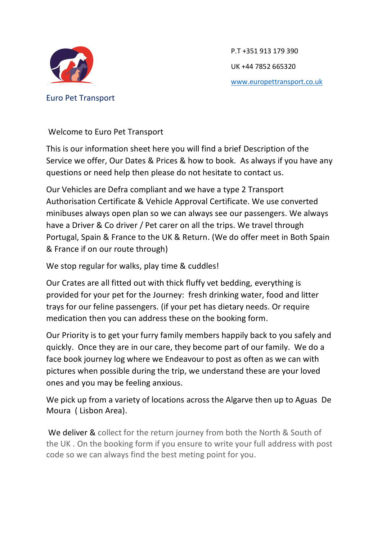

Euro Pet Transport

P.T +351 913 179 390 UK +44 7852 665320 [www.europettransport.co.uk](http://www.europettransport.co.uk/)

Welcome to Euro Pet Transport

This is our information sheet here you will find a brief Description of the Service we offer, Our Dates & Prices & how to book. As always if you have any questions or need help then please do not hesitate to contact us.

Our Vehicles are Defra compliant and we have a type 2 Transport Authorisation Certificate & Vehicle Approval Certificate. We use converted minibuses always open plan so we can always see our passengers. We always have a Driver & Co driver / Pet carer on all the trips. We travel through Portugal, Spain & France to the UK & Return. (We do offer meet in Both Spain & France if on our route through)

We stop regular for walks, play time & cuddles!

Our Crates are all fitted out with thick fluffy vet bedding, everything is provided for your pet for the Journey: fresh drinking water, food and litter trays for our feline passengers. (if your pet has dietary needs. Or require medication then you can address these on the booking form.

Our Priority is to get your furry family members happily back to you safely and quickly. Once they are in our care, they become part of our family. We do a face book journey log where we Endeavour to post as often as we can with pictures when possible during the trip, we understand these are your loved ones and you may be feeling anxious.

We pick up from a variety of locations across the Algarve then up to Aguas De Moura ( Lisbon Area).

We deliver & collect for the return journey from both the North & South of the UK . On the booking form if you ensure to write your full address with post code so we can always find the best meting point for you.